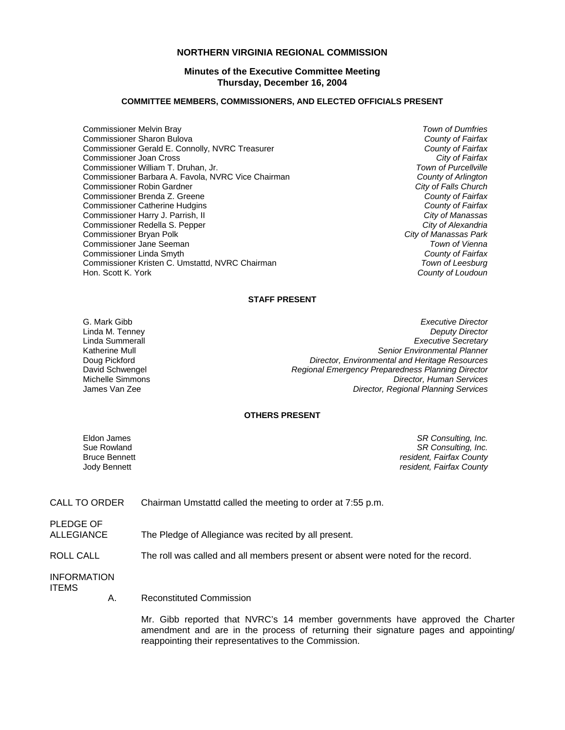## **NORTHERN VIRGINIA REGIONAL COMMISSION**

## **Minutes of the Executive Committee Meeting Thursday, December 16, 2004**

#### **COMMITTEE MEMBERS, COMMISSIONERS, AND ELECTED OFFICIALS PRESENT**

- Commissioner Melvin Bray *Town of Dumfries* Commissioner Sharon Bulova *County of Fairfax* Commissioner Gerald E. Connolly, NVRC Treasurer *County of Fairfax* Commissioner Joan Cross *City of Fairfax* Commissioner William T. Druhan, Jr. *Town of Purcellville* Commissioner Barbara A. Favola, NVRC Vice Chairman Commissioner Robin Gardner *City of Falls Church* Commissioner Brenda Z. Greene *County of Fairfax* Commissioner Catherine Hudgins *County of Fairfax* Commissioner Harry J. Parrish, II *City of Manassas* Commissioner Redella S. Pepper *City of Alexandria* Commissioner Bryan Polk *City of Manassas Park* Commissioner Jane Seeman *Town of Vienna* Commissioner Linda Smyth *County of Fairfax* Commissioner Kristen C. Umstattd, NVRC Chairman<br>Hon. Scott K. York
- **County of Loudoun**

#### **STAFF PRESENT**

G. Mark Gibb *Executive Director* Linda M. Tenney *Deputy Director* **Executive Secretary** Katherine Mull *Senior Environmental Planner* Doug Pickford *Director, Environmental and Heritage Resources* David Schwengel *Regional Emergency Preparedness Planning Director* **Director, Human Services** James Van Zee *Director, Regional Planning Services*

## **OTHERS PRESENT**

Eldon James *SR Consulting, Inc.* Sue Rowland *SR Consulting, Inc.* Bruce Bennett *resident, Fairfax County* Jody Bennett *resident, Fairfax County*

CALL TO ORDER Chairman Umstattd called the meeting to order at 7:55 p.m.

PLEDGE OF

ALLEGIANCE The Pledge of Allegiance was recited by all present.

ROLL CALL The roll was called and all members present or absent were noted for the record.

INFORMATION ITEMS

A. Reconstituted Commission

 Mr. Gibb reported that NVRC's 14 member governments have approved the Charter amendment and are in the process of returning their signature pages and appointing/ reappointing their representatives to the Commission.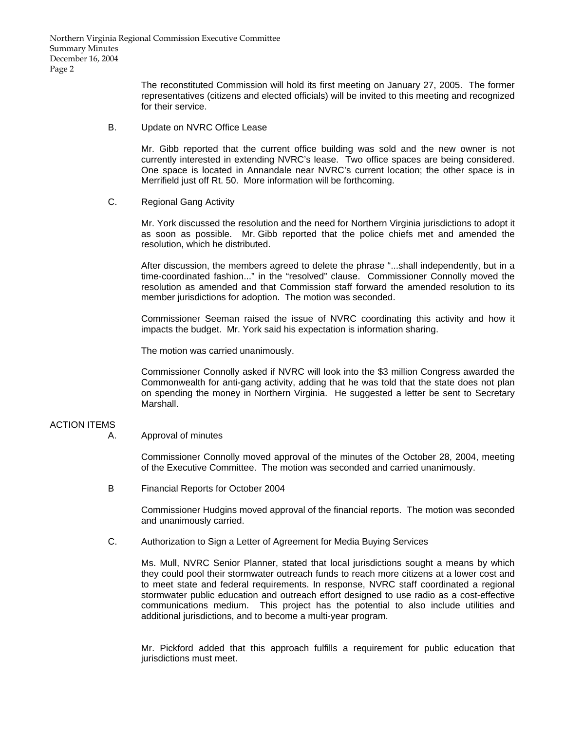Northern Virginia Regional Commission Executive Committee Summary Minutes December 16, 2004 Page 2

> The reconstituted Commission will hold its first meeting on January 27, 2005. The former representatives (citizens and elected officials) will be invited to this meeting and recognized for their service.

B. Update on NVRC Office Lease

 Mr. Gibb reported that the current office building was sold and the new owner is not currently interested in extending NVRC's lease. Two office spaces are being considered. One space is located in Annandale near NVRC's current location; the other space is in Merrifield just off Rt. 50. More information will be forthcoming.

C. Regional Gang Activity

 Mr. York discussed the resolution and the need for Northern Virginia jurisdictions to adopt it as soon as possible. Mr. Gibb reported that the police chiefs met and amended the resolution, which he distributed.

 After discussion, the members agreed to delete the phrase "...shall independently, but in a time-coordinated fashion..." in the "resolved" clause. Commissioner Connolly moved the resolution as amended and that Commission staff forward the amended resolution to its member jurisdictions for adoption. The motion was seconded.

 Commissioner Seeman raised the issue of NVRC coordinating this activity and how it impacts the budget. Mr. York said his expectation is information sharing.

The motion was carried unanimously.

 Commissioner Connolly asked if NVRC will look into the \$3 million Congress awarded the Commonwealth for anti-gang activity, adding that he was told that the state does not plan on spending the money in Northern Virginia. He suggested a letter be sent to Secretary Marshall.

## ACTION ITEMS

A. Approval of minutes

 Commissioner Connolly moved approval of the minutes of the October 28, 2004, meeting of the Executive Committee. The motion was seconded and carried unanimously.

B Financial Reports for October 2004

Commissioner Hudgins moved approval of the financial reports. The motion was seconded and unanimously carried.

C. Authorization to Sign a Letter of Agreement for Media Buying Services

 Ms. Mull, NVRC Senior Planner, stated that local jurisdictions sought a means by which they could pool their stormwater outreach funds to reach more citizens at a lower cost and to meet state and federal requirements. In response, NVRC staff coordinated a regional stormwater public education and outreach effort designed to use radio as a cost-effective communications medium. This project has the potential to also include utilities and additional jurisdictions, and to become a multi-year program.

 Mr. Pickford added that this approach fulfills a requirement for public education that jurisdictions must meet.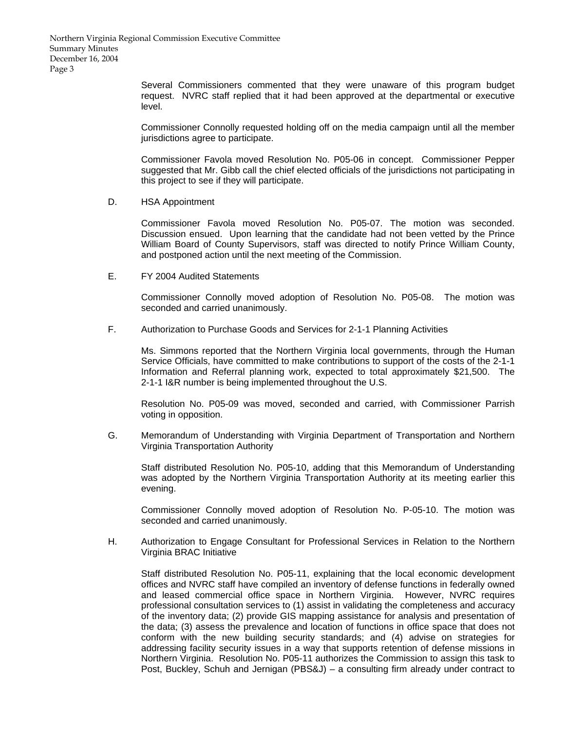Northern Virginia Regional Commission Executive Committee Summary Minutes December 16, 2004 Page 3

> Several Commissioners commented that they were unaware of this program budget request. NVRC staff replied that it had been approved at the departmental or executive level.

> Commissioner Connolly requested holding off on the media campaign until all the member jurisdictions agree to participate.

> Commissioner Favola moved Resolution No. P05-06 in concept. Commissioner Pepper suggested that Mr. Gibb call the chief elected officials of the jurisdictions not participating in this project to see if they will participate.

D. HSA Appointment

 Commissioner Favola moved Resolution No. P05-07. The motion was seconded. Discussion ensued. Upon learning that the candidate had not been vetted by the Prince William Board of County Supervisors, staff was directed to notify Prince William County, and postponed action until the next meeting of the Commission.

E. FY 2004 Audited Statements

 Commissioner Connolly moved adoption of Resolution No. P05-08. The motion was seconded and carried unanimously.

F. Authorization to Purchase Goods and Services for 2-1-1 Planning Activities

 Ms. Simmons reported that the Northern Virginia local governments, through the Human Service Officials, have committed to make contributions to support of the costs of the 2-1-1 Information and Referral planning work, expected to total approximately \$21,500. The 2-1-1 I&R number is being implemented throughout the U.S.

 Resolution No. P05-09 was moved, seconded and carried, with Commissioner Parrish voting in opposition.

G. Memorandum of Understanding with Virginia Department of Transportation and Northern Virginia Transportation Authority

 Staff distributed Resolution No. P05-10, adding that this Memorandum of Understanding was adopted by the Northern Virginia Transportation Authority at its meeting earlier this evening.

 Commissioner Connolly moved adoption of Resolution No. P-05-10. The motion was seconded and carried unanimously.

H. Authorization to Engage Consultant for Professional Services in Relation to the Northern Virginia BRAC Initiative

 Staff distributed Resolution No. P05-11, explaining that the local economic development offices and NVRC staff have compiled an inventory of defense functions in federally owned and leased commercial office space in Northern Virginia. However, NVRC requires professional consultation services to (1) assist in validating the completeness and accuracy of the inventory data; (2) provide GIS mapping assistance for analysis and presentation of the data; (3) assess the prevalence and location of functions in office space that does not conform with the new building security standards; and (4) advise on strategies for addressing facility security issues in a way that supports retention of defense missions in Northern Virginia. Resolution No. P05-11 authorizes the Commission to assign this task to Post, Buckley, Schuh and Jernigan (PBS&J) – a consulting firm already under contract to